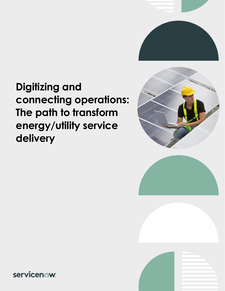

# **Digitizing and connecting operations: The path to transform energy/utility service delivery**







servicenow.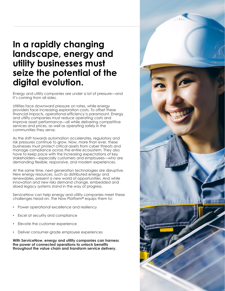## **In a rapidly changing landscape, energy and utility businesses must seize the potential of the digital evolution.**

Energy and utility companies are under a lot of pressure—and it's coming from all sides.

Utilities face downward pressure on rates, while energy providers face increasing exploration costs. To offset these financial impacts, operational efficiency is paramount. Energy and utility companies must reduce operating costs and improve asset performance—all while delivering competitive services and prices, as well as operating safely in the communities they serve.

As the shift towards automation accelerates, regulatory and risk pressures continue to grow. Now, more than ever, these businesses must protect critical assets from cyber threats and manage compliance across the entire ecosystem. They also have to keep pace with the increasing expectations of key stakeholders—especially customers and employees—who are demanding flexible, responsive, and modern experiences.

At the same time, next-generation technologies are disruptive. New energy resources, such as distributed energy and renewables, present a new world of opportunities. And while innovation and new risks demand change, embedded and siloed legacy systems stand in the way of progress.

ServiceNow can help energy and utility companies meet these challenges head-on. The Now Platform® equips them to:

- Power operational excellence and resiliency
- Excel at security and compliance
- Elevate the customer experience
- Deliver consumer-grade employee experiences

**With ServiceNow, energy and utility companies can harness the power of connected operations to unlock benefits throughout the value chain and transform service delivery.**

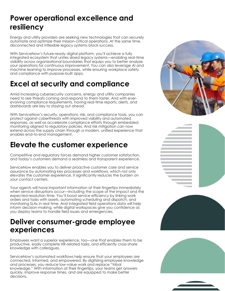#### **Power operational excellence and resiliency**

Energy and utility providers are seeking new technologies that can securely automate and optimize their mission-critical operations. At the same time, disconnected and inflexible legacy systems block success.

With ServiceNow's future-ready digital platform, you'll achieve a fully integrated ecosystem that unites siloed legacy systems—enabling real-time visibility across organizational boundaries that equips you to better analyze your operations for continuous improvement. You can also leverage AI and machine learning to improve processes, while ensuring workplace safety and compliance with purpose-built apps.

### **Excel at security and compliance**

Amid increasing cybersecurity concerns, energy and utility companies need to see threats coming and respond to them faster. And with everevolving compliance requirements, having real-time reports, alerts, and dashboards are key to staying out ahead.

With ServiceNow's security, operations, risk, and compliance tools, you can protect against cyberthreats with improved visibility and automated responses, as well as accelerate compliance efforts through embedded monitoring aligned to regulatory policies. And risk mitigation can now extend across the supply chain through a modern, unified experience that enables end-to-end management.

#### **Elevate the customer experience**

Competitive and regulatory forces demand higher customer satisfaction, and today's customers demand a seamless and transparent experience.

ServiceNow enables you to deliver proactive customer care and service assurance by automating key processes and workflows, which not only elevates the customer experience, it significantly reduces the burden on your contact centers.

Your agents will have important information at their fingertips immediately when service disruptions occur—including the scope of the impact and the expected resolution time. You'll boost service efficiency by linking work orders and tasks with assets, automating scheduling and dispatch, and monitoring SLAs in real time. And integrated field operations data will help inform decision-making, while digital workspaces give you confidence as you deploy teams to handle field issues and emergencies.

#### **Deliver consumer-grade employee experiences**

Employees want a superior experience, too—one that enables them to be productive, easily complete HR-related tasks, and efficiently cross-share knowledge with colleagues.

ServiceNow's automated workflows help ensure that your employees are connected, informed, and empowered. By digitizing employee knowledge and processes, you reduce low-value work and replace "tribal knowledge." With information at their fingertips, your teams get answers quickly, improve response times, and are equipped to make better decisions.